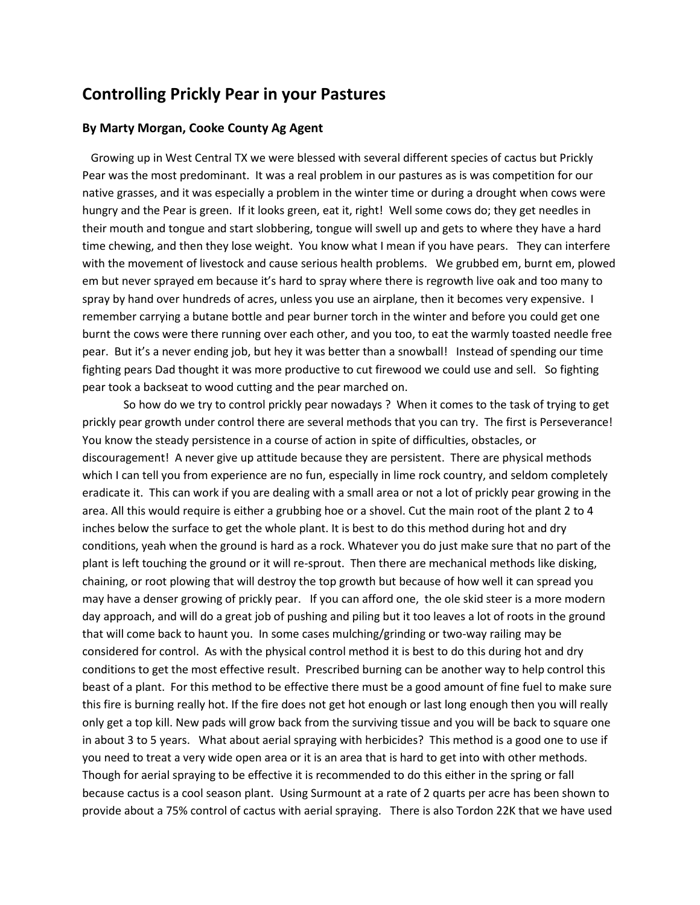## **[Controlling Prickly Pear](https://www.westtexaslivestockgrowers.com/controlling-pasture-prickly-pear/) in your Pastures**

## **By Marty Morgan, Cooke County Ag Agent**

 Growing up in West Central TX we were blessed with several different species of cactus but Prickly Pear was the most predominant. It was a real problem in our pastures as is was competition for our native grasses, and it was especially a problem in the winter time or during a drought when cows were hungry and the Pear is green. If it looks green, eat it, right! Well some cows do; they get needles in their mouth and tongue and start slobbering, tongue will swell up and gets to where they have a hard time chewing, and then they lose weight. You know what I mean if you have pears. They can interfere with the movement of livestock and cause serious health problems. We grubbed em, burnt em, plowed em but never sprayed em because it's hard to spray where there is regrowth live oak and too many to spray by hand over hundreds of acres, unless you use an airplane, then it becomes very expensive. I remember carrying a butane bottle and pear burner torch in the winter and before you could get one burnt the cows were there running over each other, and you too, to eat the warmly toasted needle free pear. But it's a never ending job, but hey it was better than a snowball! Instead of spending our time fighting pears Dad thought it was more productive to cut firewood we could use and sell. So fighting pear took a backseat to wood cutting and the pear marched on.

So how do we try to control prickly pear nowadays ? When it comes to the task of trying to get prickly pear growth under control there are several methods that you can try. The first is Perseverance! You know the steady persistence in a course of action in spite of difficulties, obstacles, or discouragement! A never give up attitude because they are persistent. There are physical methods which I can tell you from experience are no fun, especially in lime rock country, and seldom completely eradicate it. This can work if you are dealing with a small area or not a lot of prickly pear growing in the area. All this would require is either a grubbing hoe or a shovel. Cut the main root of the plant 2 to 4 inches below the surface to get the whole plant. It is best to do this method during hot and dry conditions, yeah when the ground is hard as a rock. Whatever you do just make sure that no part of the plant is left touching the ground or it will re-sprout. Then there are mechanical methods like disking, chaining, or root plowing that will destroy the top growth but because of how well it can spread you may have a denser growing of prickly pear. If you can afford one, the ole skid steer is a more modern day approach, and will do a great job of pushing and piling but it too leaves a lot of roots in the ground that will come back to haunt you. In some cases mulching/grinding or two-way railing may be considered for control. As with the physical control method it is best to do this during hot and dry conditions to get the most effective result. Prescribed burning can be another way to help control this beast of a plant. For this method to be effective there must be a good amount of fine fuel to make sure this fire is burning really hot. If the fire does not get hot enough or last long enough then you will really only get a top kill. New pads will grow back from the surviving tissue and you will be back to square one in about 3 to 5 years. What about aerial spraying with herbicides? This method is a good one to use if you need to treat a very wide open area or it is an area that is hard to get into with other methods. Though for aerial spraying to be effective it is recommended to do this either in the spring or fall because cactus is a cool season plant. Using Surmount at a rate of 2 quarts per acre has been shown to provide about a 75% control of cactus with aerial spraying. There is also Tordon 22K that we have used